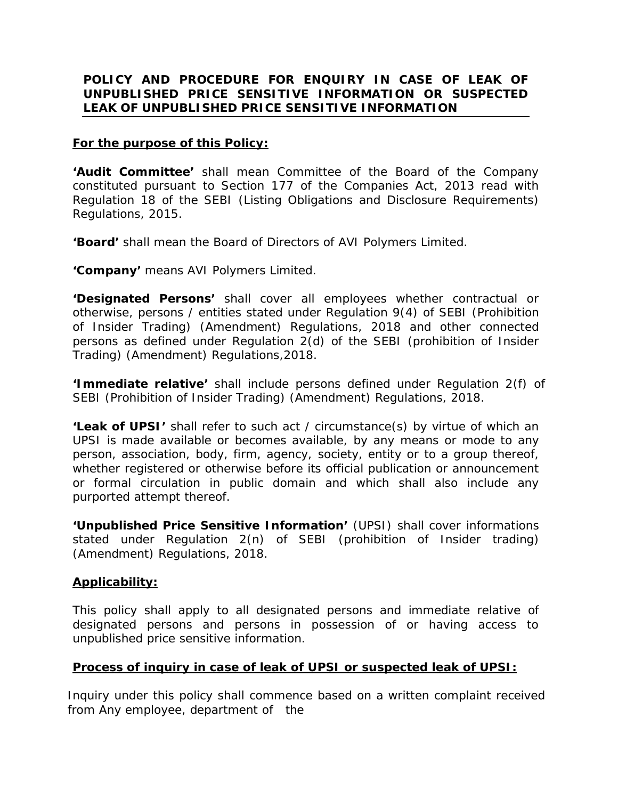## **POLICY AND PROCEDURE FOR ENQUIRY IN CASE OF LEAK OF UNPUBLISHED PRICE SENSITIVE INFORMATION OR SUSPECTED LEAK OF UNPUBLISHED PRICE SENSITIVE INFORMATION**

## *For the purpose of this Policy:*

*'Audit Committee'* shall mean Committee of the Board of the Company constituted pursuant to Section 177 of the Companies Act, 2013 read with Regulation 18 of the SEBI (Listing Obligations and Disclosure Requirements) Regulations, 2015.

*'Board'* shall mean the Board of Directors of AVI Polymers Limited.

*'Company'* means AVI Polymers Limited.

*'Designated Persons'* shall cover all employees whether contractual or otherwise, persons / entities stated under Regulation 9(4) of SEBI (Prohibition of Insider Trading) (Amendment) Regulations, 2018 and other connected persons as defined under Regulation 2(d) of the SEBI (prohibition of Insider Trading) (Amendment) Regulations,2018.

*'Immediate relative'* shall include persons defined under Regulation 2(f) of SEBI (Prohibition of Insider Trading) (Amendment) Regulations, 2018.

*'Leak of UPSI'* shall refer to such act / circumstance(s) by virtue of which an UPSI is made available or becomes available, by any means or mode to any person, association, body, firm, agency, society, entity or to a group thereof, whether registered or otherwise before its official publication or announcement or formal circulation in public domain and which shall also include any purported attempt thereof.

*'Unpublished Price Sensitive Information'* (UPSI) shall cover informations stated under Regulation 2(n) of SEBI (prohibition of Insider trading) (Amendment) Regulations, 2018.

## *Applicability:*

This policy shall apply to all designated persons and immediate relative of designated persons and persons in possession of or having access to unpublished price sensitive information.

## *Process of inquiry in case of leak of UPSI or suspected leak of UPSI:*

Inquiry under this policy shall commence based on a written complaint received from Any employee, department of the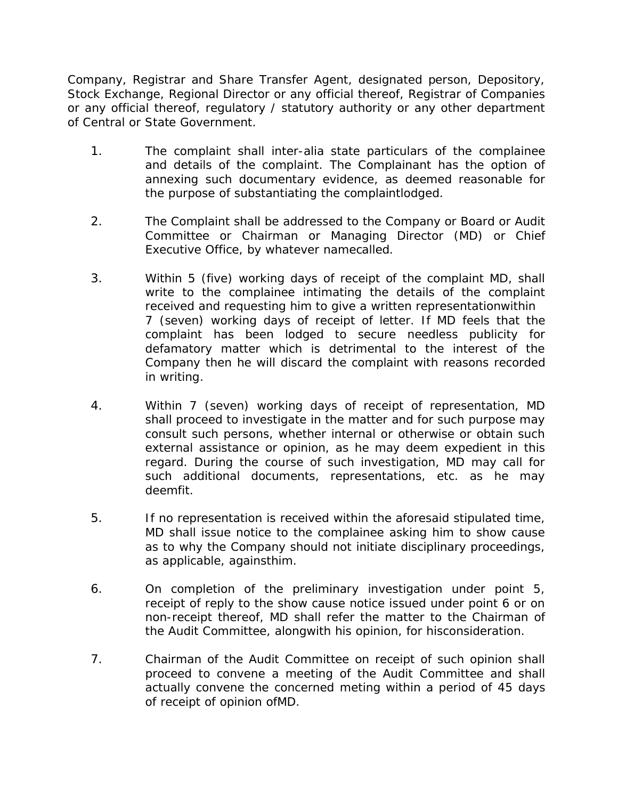Company, Registrar and Share Transfer Agent, designated person, Depository, Stock Exchange, Regional Director or any official thereof, Registrar of Companies or any official thereof, regulatory / statutory authority or any other department of Central or State Government.

- 1. The complaint shall inter-alia state particulars of the complainee and details of the complaint. The Complainant has the option of annexing such documentary evidence, as deemed reasonable for the purpose of substantiating the complaintlodged.
- 2. The Complaint shall be addressed to the Company or Board or Audit Committee or Chairman or Managing Director (MD) or Chief Executive Office, by whatever namecalled.
- 3. Within 5 (five) working days of receipt of the complaint MD, shall write to the complainee intimating the details of the complaint received and requesting him to give a written representationwithin 7 (seven) working days of receipt of letter. If MD feels that the complaint has been lodged to secure needless publicity for defamatory matter which is detrimental to the interest of the Company then he will discard the complaint with reasons recorded in writing.
- 4. Within 7 (seven) working days of receipt of representation, MD shall proceed to investigate in the matter and for such purpose may consult such persons, whether internal or otherwise or obtain such external assistance or opinion, as he may deem expedient in this regard. During the course of such investigation, MD may call for such additional documents, representations, etc. as he may deemfit.
- 5. If no representation is received within the aforesaid stipulated time, MD shall issue notice to the complainee asking him to show cause as to why the Company should not initiate disciplinary proceedings, as applicable, againsthim.
- 6. On completion of the preliminary investigation under point 5, receipt of reply to the show cause notice issued under point 6 or on non-receipt thereof, MD shall refer the matter to the Chairman of the Audit Committee, alongwith his opinion, for hisconsideration.
- 7. Chairman of the Audit Committee on receipt of such opinion shall proceed to convene a meeting of the Audit Committee and shall actually convene the concerned meting within a period of 45 days of receipt of opinion ofMD.